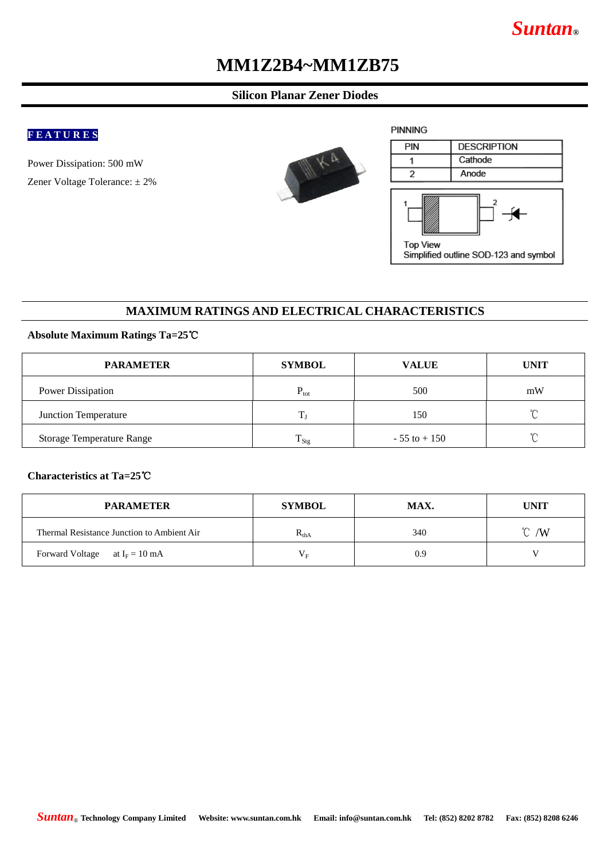# *Suntan***®**

# **MM1Z2B4~MM1ZB75**

### **Silicon Planar Zener Diodes**

### **F E A T U R E S**

Power Dissipation: 500 mW Zener Voltage Tolerance: ± 2%





### **MAXIMUM RATINGS AND ELECTRICAL CHARACTERISTICS**

#### **Absolute Maximum Ratings Ta=25**℃

| <b>PARAMETER</b>                 | <b>SYMBOL</b>          | <b>VALUE</b>    | <b>UNIT</b> |
|----------------------------------|------------------------|-----------------|-------------|
| Power Dissipation                | $P_{\text{tot}}$       | 500             | mW          |
| Junction Temperature             |                        | 150             | $^{\circ}$  |
| <b>Storage Temperature Range</b> | Ē<br>$\frac{1}{1}$ Stg | $-55$ to $+150$ | $\sim$      |

#### **Characteristics at Ta=25**℃

| <b>PARAMETER</b>                           | <b>SYMBOL</b>             | MAX. | <b>UNIT</b>      |
|--------------------------------------------|---------------------------|------|------------------|
| Thermal Resistance Junction to Ambient Air | $\mathbf{r}_{\text{thA}}$ | 340  | $\mathcal{C}$ /W |
| Forward Voltage at $I_F = 10$ mA           | $V_{E}$                   | 0.9  |                  |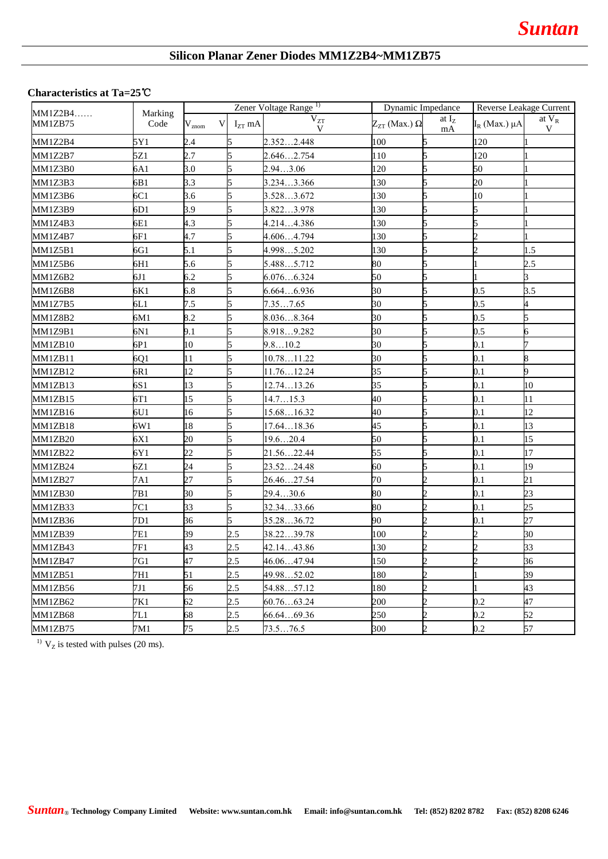## **Silicon Planar Zener Diodes MM1Z2B4~MM1ZB75**

#### **Characteristics at Ta=25**℃

| $MM1Z2B4$<br>MM1ZB75 | Marking | Zener Voltage Range <sup>1)</sup> |                  | Dynamic Impedance |                          | Reverse Leakage Current     |                      |                 |
|----------------------|---------|-----------------------------------|------------------|-------------------|--------------------------|-----------------------------|----------------------|-----------------|
|                      | Code    | $V_{\rm znom}$                    | $I_{ZT}$ mA<br>V | $\rm V_{ZT}$<br>V | $Z_{ZT}$ (Max.) $\Omega$ | at $I_{Z}$<br>mA            | $I_R$ (Max.) $\mu A$ | at $V_R$<br>V   |
| MM1Z2B4              | 5Y1     | 2.4                               | 5                | 2.3522.448        | 100                      |                             | 120                  |                 |
| MM1Z2B7              | 5Z1     | 2.7                               | 5                | 2.6462.754        | 110                      |                             | 120                  |                 |
| MM1Z3B0              | 6A1     | 3.0                               |                  | 2.943.06          | 120                      |                             | 50                   |                 |
| MM1Z3B3              | 6B1     | 3.3                               |                  | 3.2343.366        | 130                      |                             | 20                   |                 |
| MM1Z3B6              | 6C1     | 3.6                               | 15               | 3.5283.672        | 130                      |                             | 10                   |                 |
| MM1Z3B9              | 6D1     | 3.9                               |                  | 3.8223.978        | 130                      |                             |                      |                 |
| MM1Z4B3              | 6E1     | 4.3                               |                  | 4.2144.386        | 130                      |                             |                      |                 |
| MM1Z4B7              | 6F1     | 4.7                               |                  | 4.6064.794        | 130                      |                             |                      |                 |
| MM1Z5B1              | 6G1     | 5.1                               |                  | 4.9985.202        | 130                      |                             |                      | 1.5             |
| MM1Z5B6              | 6H1     | 5.6                               |                  | 5.4885.712        | 80                       |                             |                      | 2.5             |
| MM1Z6B2              | 6J1     | 6.2                               |                  | 6.0766.324        | 50                       |                             |                      | R               |
| MM1Z6B8              | 6K1     | 6.8                               | 5                | 6.6646.936        | 30                       | 5                           | $0.5\,$              | 3.5             |
| MM1Z7B5              | 6L1     | 7.5                               |                  | 7.357.65          | 30                       | 5                           | $0.5\,$              | 4               |
| MM1Z8B2              | 6M1     | 8.2                               | 5                | 8.0368.364        | 30                       | 5                           | 0.5                  | 5               |
| MM1Z9B1              | 6N1     | 9.1                               |                  | 8.9189.282        | 30                       |                             | $0.5\,$              | б               |
| MM1ZB10              | 6P1     | 10                                |                  | 9.810.2           | 30                       |                             | 0.1                  |                 |
| MM1ZB11              | 6Q1     | 11                                |                  | 10.7811.22        | 30                       |                             | 0.1                  | 8               |
| MM1ZB12              | 6R1     | 12                                |                  | 11.7612.24        | 35                       |                             | 0.1                  | 9               |
| MM1ZB13              | 6S1     | 13                                |                  | 12.7413.26        | 35                       |                             | 0.1                  | 10              |
| MM1ZB15              | 6T1     | 15                                |                  | 14.715.3          | 40                       |                             | 0.1                  | 11              |
| MM1ZB16              | 6U1     | 16                                | 5                | 15.6816.32        | 40                       | 5                           | 0.1                  | $\overline{12}$ |
| MM1ZB18              | 6W1     | 18                                |                  | 17.6418.36        | 45                       | 5                           | 0.1                  | 13              |
| MM1ZB20              | 6X1     | 20                                |                  | 19.620.4          | 50                       | 5                           | 0.1                  | 15              |
| MM1ZB22              | 6Y1     | 22                                | 15               | 21.5622.44        | 55                       | Б                           | 0.1                  | 17              |
| MM1ZB24              | 6Z1     | 24                                |                  | 23.5224.48        | 60                       |                             | 0.1                  | 19              |
| MM1ZB27              | 7A1     | 27                                |                  | 26.4627.54        | 70                       |                             | 0.1                  | 21              |
| MM1ZB30              | 7B1     | 30                                |                  | 29.430.6          | 80                       |                             | 0.1                  | 23              |
| MM1ZB33              | 7C1     | 33                                |                  | 32.3433.66        | 80                       |                             | 0.1                  | 25              |
| MM1ZB36              | 7D1     | 36                                |                  | 35.2836.72        | 90                       |                             | 0.1                  | 27              |
| MM1ZB39              | 7E1     | 39                                | 2.5              | 38.2239.78        | 100                      |                             |                      | 30              |
| MM1ZB43              | 7F1     | 43                                | 2.5              | 42.1443.86        | 130                      |                             |                      | 33              |
| MM1ZB47              | 7G1     | 47                                | 2.5              | 46.06…47.94       | 150                      |                             |                      | 36              |
| MM1ZB51              | 7H1     | 51                                | 2.5              | 49.9852.02        | 180                      | $\mathcal{D}_{\mathcal{C}}$ |                      | 39              |
| MM1ZB56              | 7J1     | 56                                | 2.5              | 54.8857.12        | 180                      | າ                           |                      | 43              |
| MM1ZB62              | 7K1     | 62                                | 2.5              | 60.7663.24        | 200                      | າ                           | 0.2                  | 47              |
| MM1ZB68              | 7L1     | 68                                | 2.5              | 66.6469.36        | 250                      |                             | 0.2                  | 52              |
| MM1ZB75              | 7M1     | 75                                | 2.5              | 73.576.5          | 300                      |                             | 0.2                  | 57              |

<sup>1)</sup>  $V_Z$  is tested with pulses (20 ms).